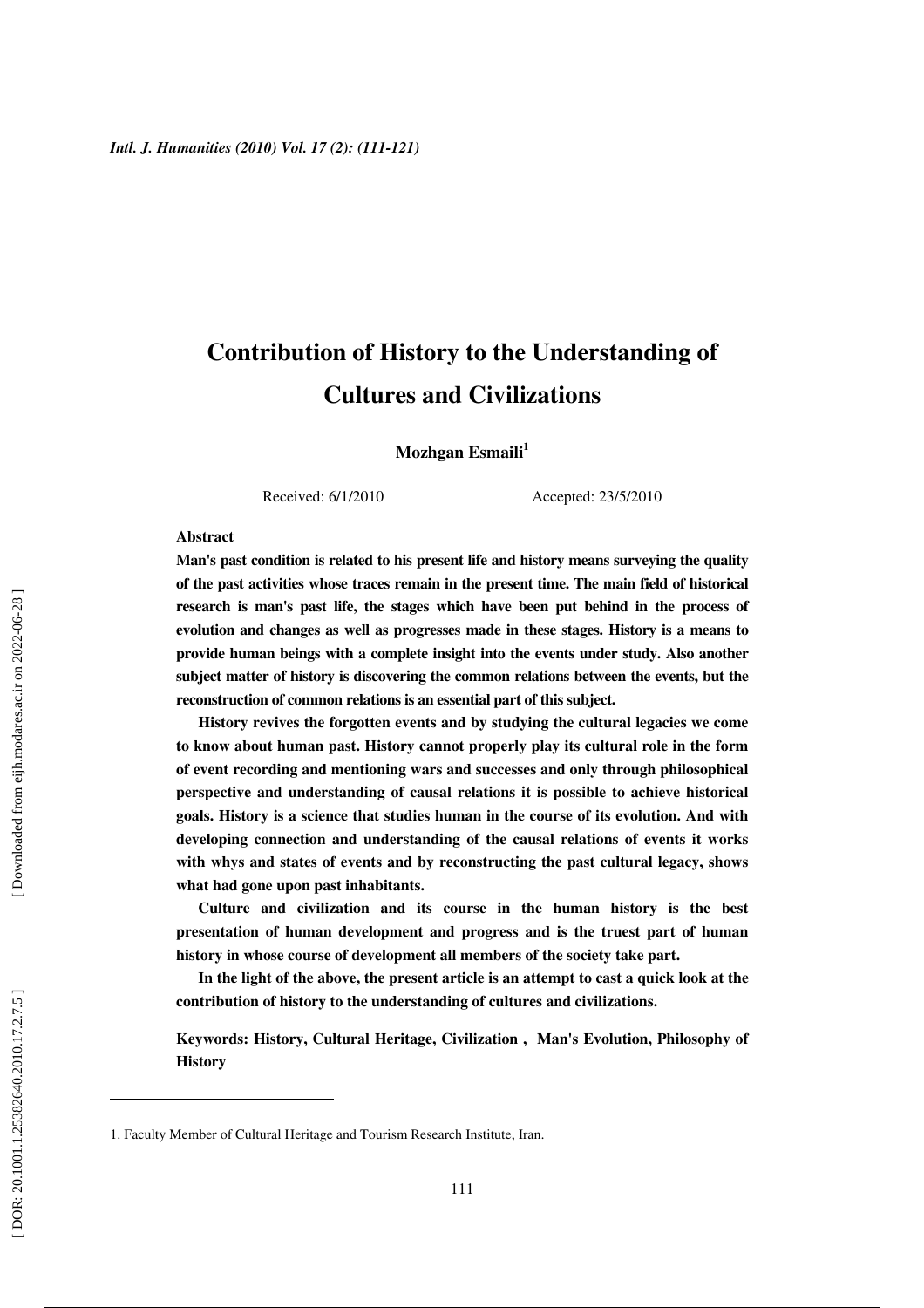# **Contribution of History to the Understanding of Cultures and Civilizations**

**Mozhgan Esmaili 1**

Received: 6/1/2010 Accepted: 23/5/2010

#### **Abstract**

**Man's past condition is related to his present life and history means surveying the quality of the past activities whose traces remain in the present time. The main field of historical research is man's past life, the stages which have been put behind in the process of evolution and changes as well as progresses made in these stages. History is a means to provide human beings with a complete insight into the events under study. Also another subject matter of history is discovering the common relations between the events, but the reconstruction of common relations is an essential part of this subject.** 

**History revives the forgotten events and by studying the cultural legacies we come to know about human past. History cannot properly play its cultural role in the form of event recording and mentioning wars and successes and only through philosophical perspective and understanding of causal relations it is possible to achieve historical goals. History is a science that studies human in the course of its evolution. And with developing connection and understanding of the causal relations of events it works with whys and states of events and by reconstructing the past cultural legacy, shows what had gone upon past inhabitants.** 

**Culture and civilization and its course in the human history is the best presentation of human development and progress and is the truest part of human history in whose course of development all members of the society take part.** 

**In the light of the above, the present article is an attempt to cast a quick look at the contribution of history to the understanding of cultures and civilizations.** 

**Keywords: History, Cultural Heritage, Civilization , Man's Evolution, Philosophy of History**

<sup>1.</sup> Faculty Member of Cultural Heritage and Tourism Research Institute, Iran.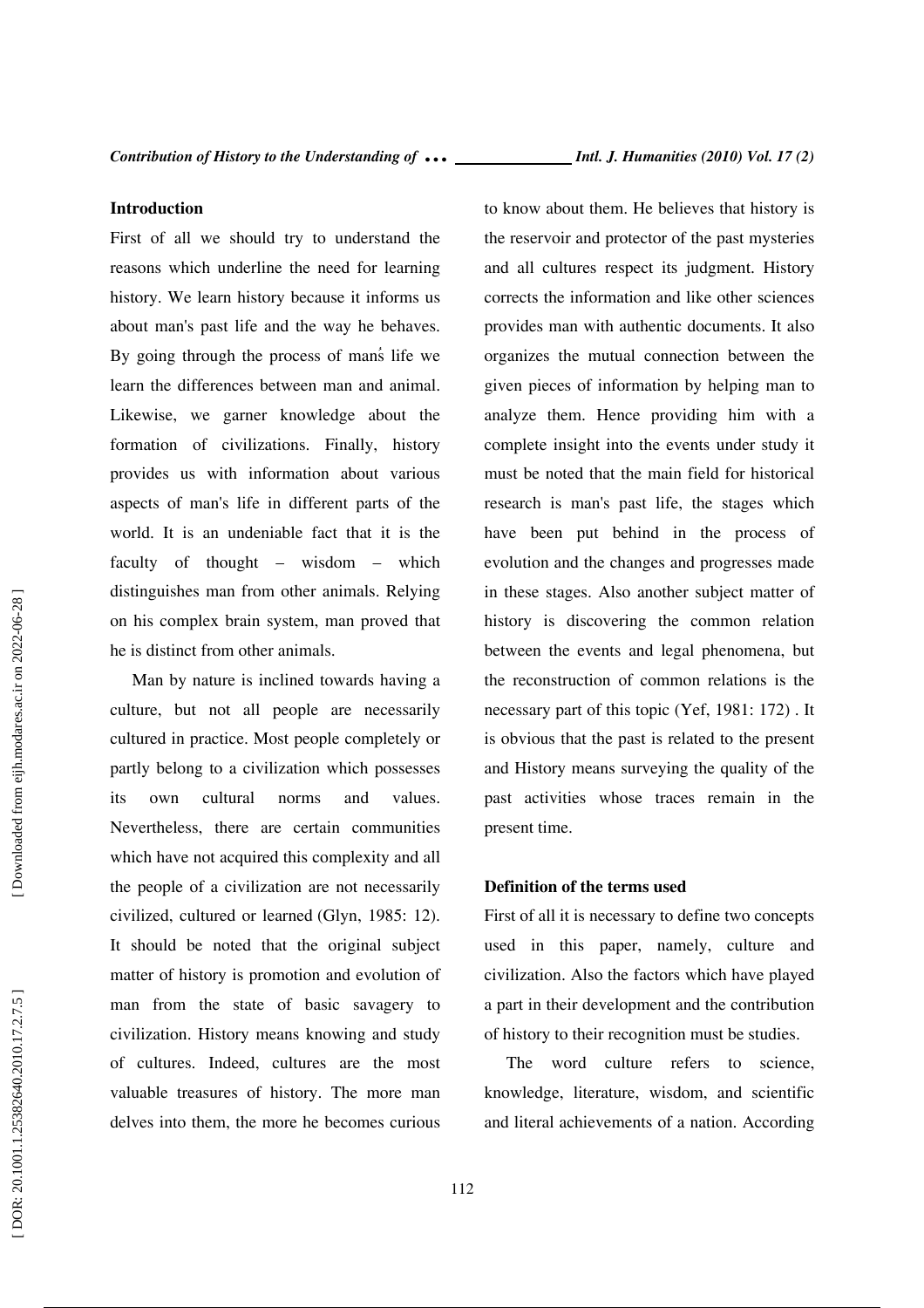### **Introduction**

First of all we should try to understand the reasons which underline the need for learning history. We learn history because it informs us ُabout man's past life and the way he behaves. By going through the process of man s life we learn the differences between man and animal. Likewise, we garner knowledge about the formation of civilizations. Finally, history provides us with information about various aspects of man's life in different parts of the world. It is an undeniable fact that it is the faculty of thought – wisdom – which distinguishes man from other animals. Relying on his complex brain system, man proved that he is distinct from other animals.

Man by nature is inclined towards having a culture, but not all people are necessarily cultured in practice. Most people completely or partly belong to a civilization which possesses its own cultural norms and values. Nevertheless, there are certain communities which have not acquired this complexity and all the people of a civilization are not necessarily civilized, cultured or learned (Glyn, 1985: 12). It should be noted that the original subject matter of history is promotion and evolution of man from the state of basic savagery to civilization. History means knowing and study of cultures. Indeed, cultures are the most valuable treasures of history. The more man delves into them, the more he becomes curious to know about them. He believes that history is the reservoir and protector of the past mysteries and all cultures respect its judgment. History corrects the information and like other sciences provides man with authentic documents. It also organizes the mutual connection between the given pieces of information by helping man to analyze them. Hence providing him with a complete insight into the events under study it must be noted that the main field for historical research is man's past life, the stages which have been put behind in the process of evolution and the changes and progresses made in these stages. Also another subject matter of history is discovering the common relation between the events and legal phenomena, but the reconstruction of common relations is the necessary part of this topic (Yef, 1981: 172) . It is obvious that the past is related to the present and History means surveying the quality of the past activities whose traces remain in the present time.

### **Definition of the terms used**

First of all it is necessary to define two concepts used in this paper, namely, culture and civilization. Also the factors which have played a part in their development and the contribution of history to their recognition must be studies.

The word culture refers to science, knowledge, literature, wisdom, and scientific and literal achievements of a nation. According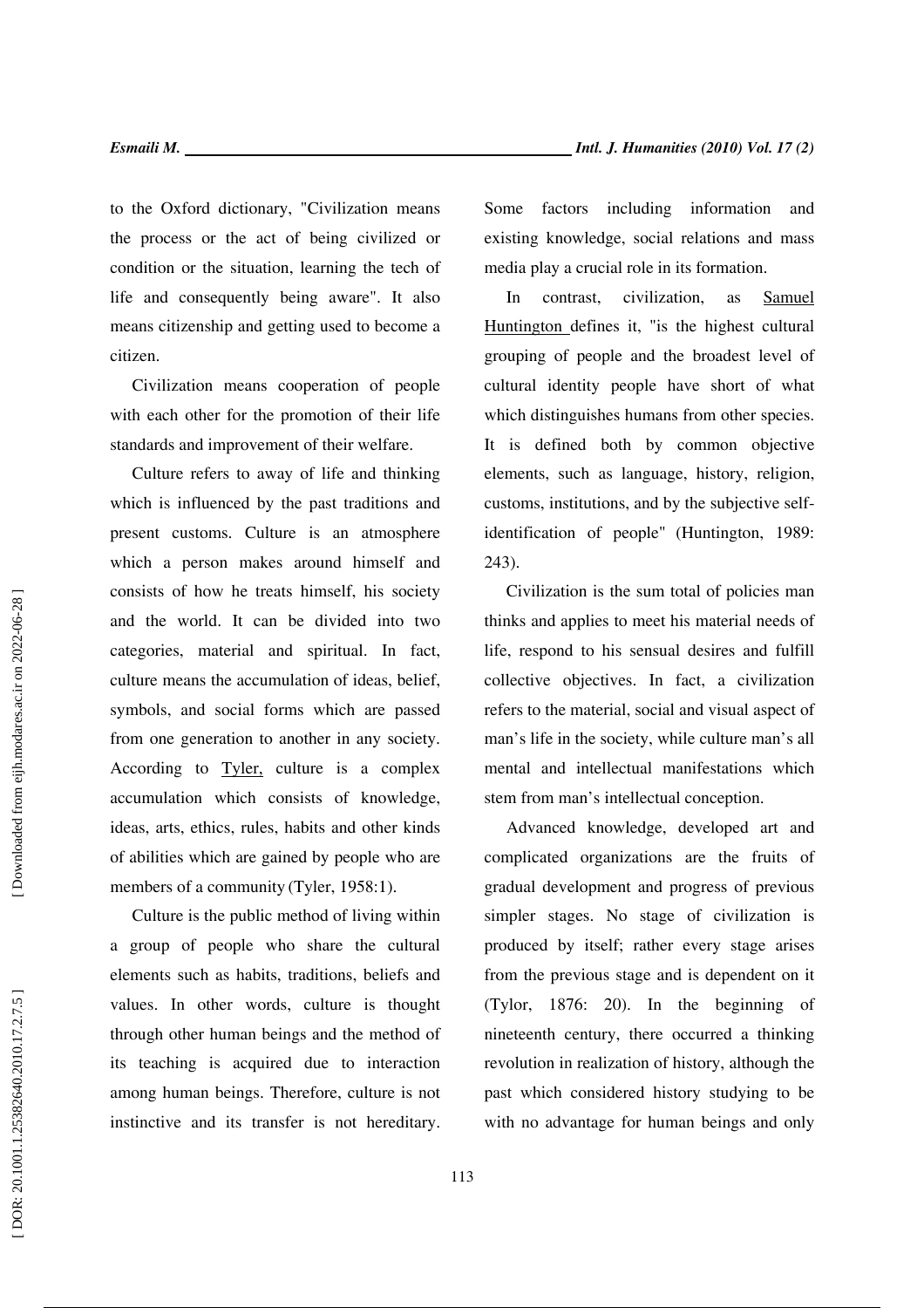to the Oxford dictionary, "Civilization means the process or the act of being civilized or condition or the situation, learning the tech of life and consequently being aware". It also means citizenship and getting used to become a citizen.

Civilization means cooperation of people with each other for the promotion of their life standards and improvement of their welfare.

Culture refers to away of life and thinking which is influenced by the past traditions and present customs. Culture is an atmosphere which a person makes around himself and consists of how he treats himself, his society and the world. It can be divided into two categories, material and spiritual. In fact, culture means the accumulation of ideas, belief, symbols, and social forms which are passed from one generation to another in any society. According to Tyler, culture is a complex accumulation which consists of knowledge, ideas, arts, ethics, rules, habits and other kinds of abilities which are gained by people who are members of a community (Tyler, 1958:1).

Culture is the public method of living within a group of people who share the cultural elements such as habits, traditions, beliefs and values. In other words, culture is thought through other human beings and the method of its teaching is acquired due to interaction among human beings. Therefore, culture is not instinctive and its transfer is not hereditary. Some factors including information and existing knowledge, social relations and mass media play a crucial role in its formation.

In contrast, civilization, as Samuel Huntington defines it, "is the highest cultural grouping of people and the broadest level of cultural identity people have short of what which distinguishes humans from other species. It is defined both by common objective elements, such as language, history, religion, customs, institutions, and by the subjective selfidentification of people" (Huntington, 1989: 243).

Civilization is the sum total of policies man thinks and applies to meet his material needs of life, respond to his sensual desires and fulfill collective objectives. In fact, a civilization refers to the material, social and visual aspect of man's life in the society, while culture man's all mental and intellectual manifestations which stem from man's intellectual conception.

Advanced knowledge, developed art and complicated organizations are the fruits of gradual development and progress of previous simpler stages. No stage of civilization is produced by itself; rather every stage arises from the previous stage and is dependent on it (Tylor, 1876: 20). In the beginning of nineteenth century, there occurred a thinking revolution in realization of history, although the past which considered history studying to be with no advantage for human beings and only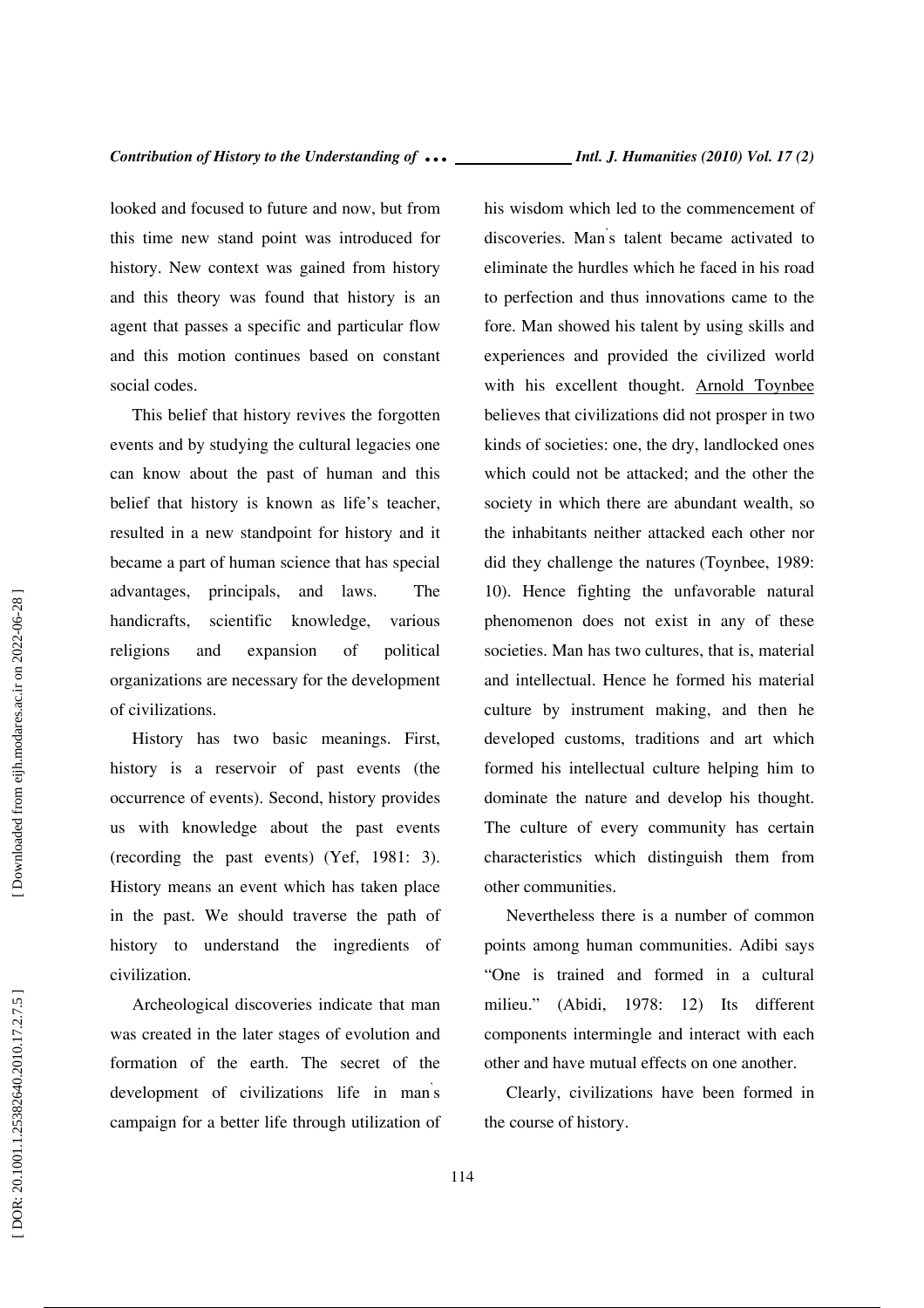looked and focused to future and now, but from this time new stand point was introduced for history. New context was gained from history and this theory was found that history is an agent that passes a specific and particular flow and this motion continues based on constant social codes.

This belief that history revives the forgotten events and by studying the cultural legacies one can know about the past of human and this belief that history is known as life's teacher, resulted in a new standpoint for history and it became a part of human science that has special advantages, principals, and laws. The handicrafts, scientific knowledge, various religions and expansion of political organizations are necessary for the development of civilizations.

History has two basic meanings. First, history is a reservoir of past events (the occurrence of events). Second, history provides us with knowledge about the past events (recording the past events) (Yef, 1981: 3). History means an event which has taken place in the past. We should traverse the path of history to understand the ingredients of civilization.

Archeological discoveries indicate that man was created in the later stages of evolution and formation of the earth. The secret of the development of civilizations life in man's campaign for a better life through utilization of

his wisdom which led to the commencement of discoveries. Man ' s talent became activated to eliminate the hurdles which he faced in his road to perfection and thus innovations came to the fore. Man showed his talent by using skills and experiences and provided the civilized world with his excellent thought. Arnold Toynbee believes that civilizations did not prosper in two kinds of societies: one, the dry, landlocked ones which could not be attacked; and the other the society in which there are abundant wealth, so the inhabitants neither attacked each other nor did they challenge the natures (Toynbee, 1989: 10). Hence fighting the unfavorable natural phenomenon does not exist in any of these societies. Man has two cultures, that is, material and intellectual. Hence he formed his material culture by instrument making, and then he developed customs, traditions and art which formed his intellectual culture helping him to dominate the nature and develop his thought. The culture of every community has certain characteristics which distinguish them from other communities.

Nevertheless there is a number of common points among human communities. Adibi says "One is trained and formed in a cultural milieu." (Abidi, 1978: 12) Its different components intermingle and interact with each other and have mutual effects on one another.

Clearly, civilizations have been formed in the course of history.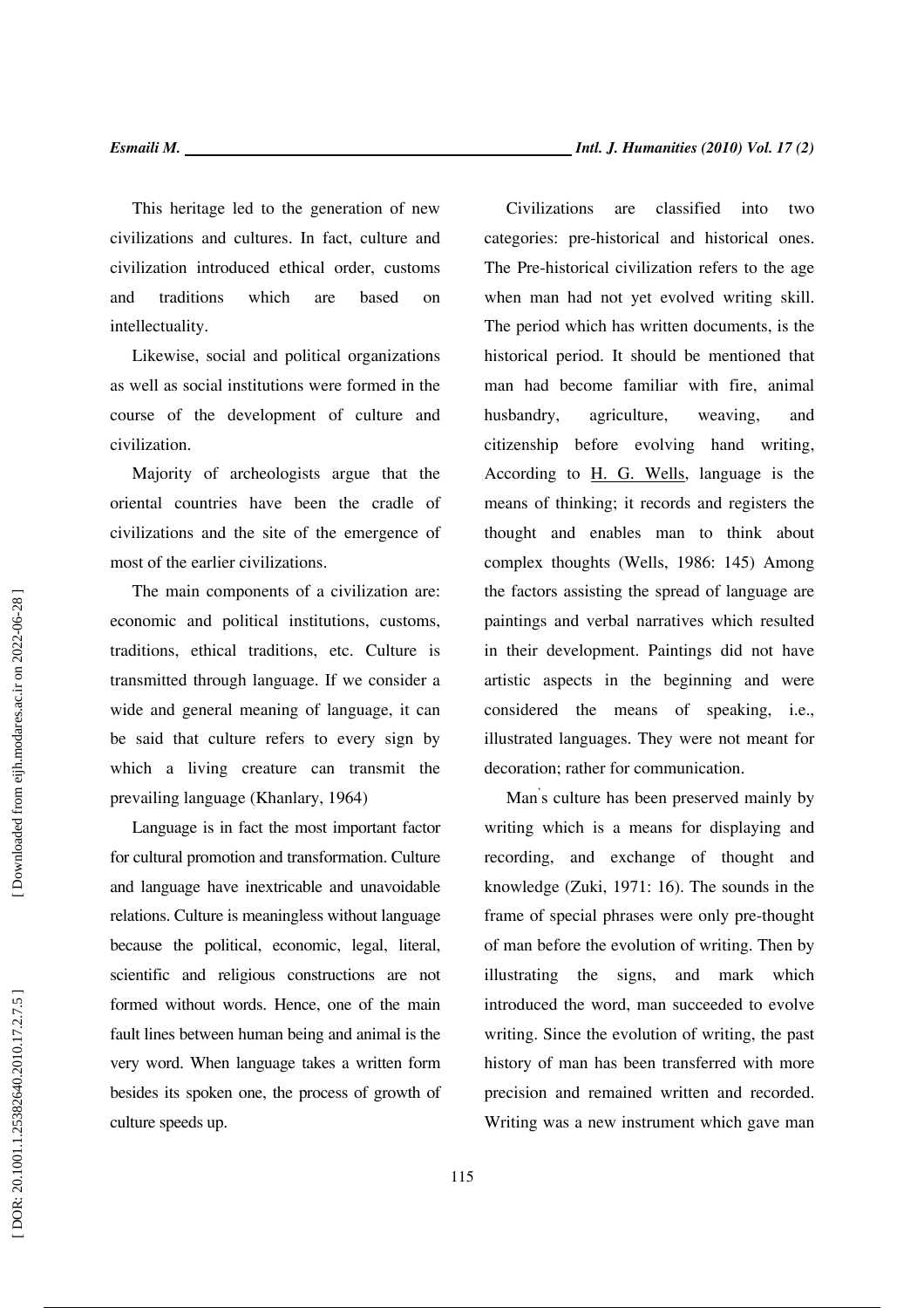This heritage led to the generation of new civilizations and cultures. In fact, culture and civilization introduced ethical order, customs and traditions which are based on intellectuality.

Likewise, social and political organizations as well as social institutions were formed in the course of the development of culture and civilization.

Majority of archeologists argue that the oriental countries have been the cradle of civilizations and the site of the emergence of most of the earlier civilizations.

The main components of a civilization are: economic and political institutions, customs, traditions, ethical traditions, etc. Culture is transmitted through language. If we consider a wide and general meaning of language, it can be said that culture refers to every sign by which a living creature can transmit the prevailing language (Khanlary, 1964)

Language is in fact the most important factor for cultural promotion and transformation. Culture and language have inextricable and unavoidable relations. Culture is meaningless without language because the political, economic, legal, literal, scientific and religious constructions are not formed without words. Hence, one of the main fault lines between human being and animal is the very word. When language takes a written form besides its spoken one, the process of growth of culture speeds up.

Civilizations are classified into two categories: pre-historical and historical ones. The Pre-historical civilization refers to the age when man had not yet evolved writing skill. The period which has written documents, is the historical period. It should be mentioned that man had become familiar with fire, animal husbandry, agriculture, weaving, and citizenship before evolving hand writing, According to H. G. Wells, language is the means of thinking; it records and registers the thought and enables man to think about complex thoughts (Wells, 1986: 145) Among the factors assisting the spread of language are paintings and verbal narratives which resulted in their development. Paintings did not have artistic aspects in the beginning and were considered the means of speaking, i.e., illustrated languages. They were not meant for decoration; rather for communication.

Man ' s culture has been preserved mainly by writing which is a means for displaying and recording, and exchange of thought and knowledge (Zuki, 1971: 16). The sounds in the frame of special phrases were only pre-thought of man before the evolution of writing. Then by illustrating the signs, and mark which introduced the word, man succeeded to evolve writing. Since the evolution of writing, the past history of man has been transferred with more precision and remained written and recorded. Writing was a new instrument which gave man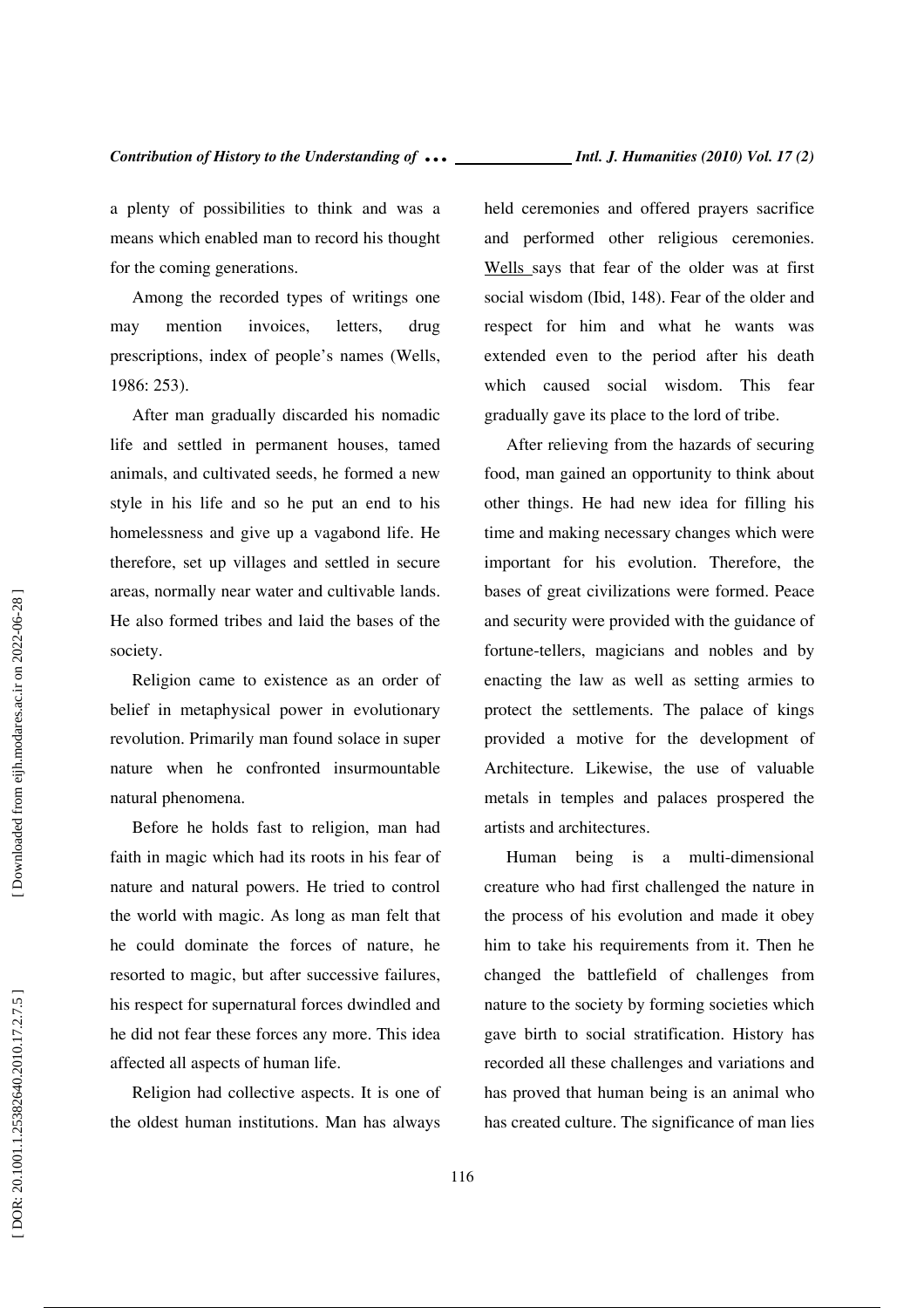a plenty of possibilities to think and was a means which enabled man to record his thought for the coming generations.

Among the recorded types of writings one may mention invoices, letters, drug prescriptions, index of people's names (Wells, 1986: 253).

After man gradually discarded his nomadic life and settled in permanent houses, tamed animals, and cultivated seeds, he formed a new style in his life and so he put an end to his homelessness and give up a vagabond life. He therefore, set up villages and settled in secure areas, normally near water and cultivable lands. He also formed tribes and laid the bases of the society.

Religion came to existence as an order of belief in metaphysical power in evolutionary revolution. Primarily man found solace in super nature when he confronted insurmountable natural phenomena.

Before he holds fast to religion, man had faith in magic which had its roots in his fear of nature and natural powers. He tried to control the world with magic. As long as man felt that he could dominate the forces of nature, he resorted to magic, but after successive failures, his respect for supernatural forces dwindled and he did not fear these forces any more. This idea affected all aspects of human life.

Religion had collective aspects. It is one of the oldest human institutions. Man has always held ceremonies and offered prayers sacrifice and performed other religious ceremonies. Wells says that fear of the older was at first social wisdom (Ibid, 148). Fear of the older and respect for him and what he wants was extended even to the period after his death which caused social wisdom. This fear gradually gave its place to the lord of tribe.

After relieving from the hazards of securing food, man gained an opportunity to think about other things. He had new idea for filling his time and making necessary changes which were important for his evolution. Therefore, the bases of great civilizations were formed. Peace and security were provided with the guidance of fortune-tellers, magicians and nobles and by enacting the law as well as setting armies to protect the settlements. The palace of kings provided a motive for the development of Architecture. Likewise, the use of valuable metals in temples and palaces prospered the artists and architectures.

Human being is a multi-dimensional creature who had first challenged the nature in the process of his evolution and made it obey him to take his requirements from it. Then he changed the battlefield of challenges from nature to the society by forming societies which gave birth to social stratification. History has recorded all these challenges and variations and has proved that human being is an animal who has created culture. The significance of man lies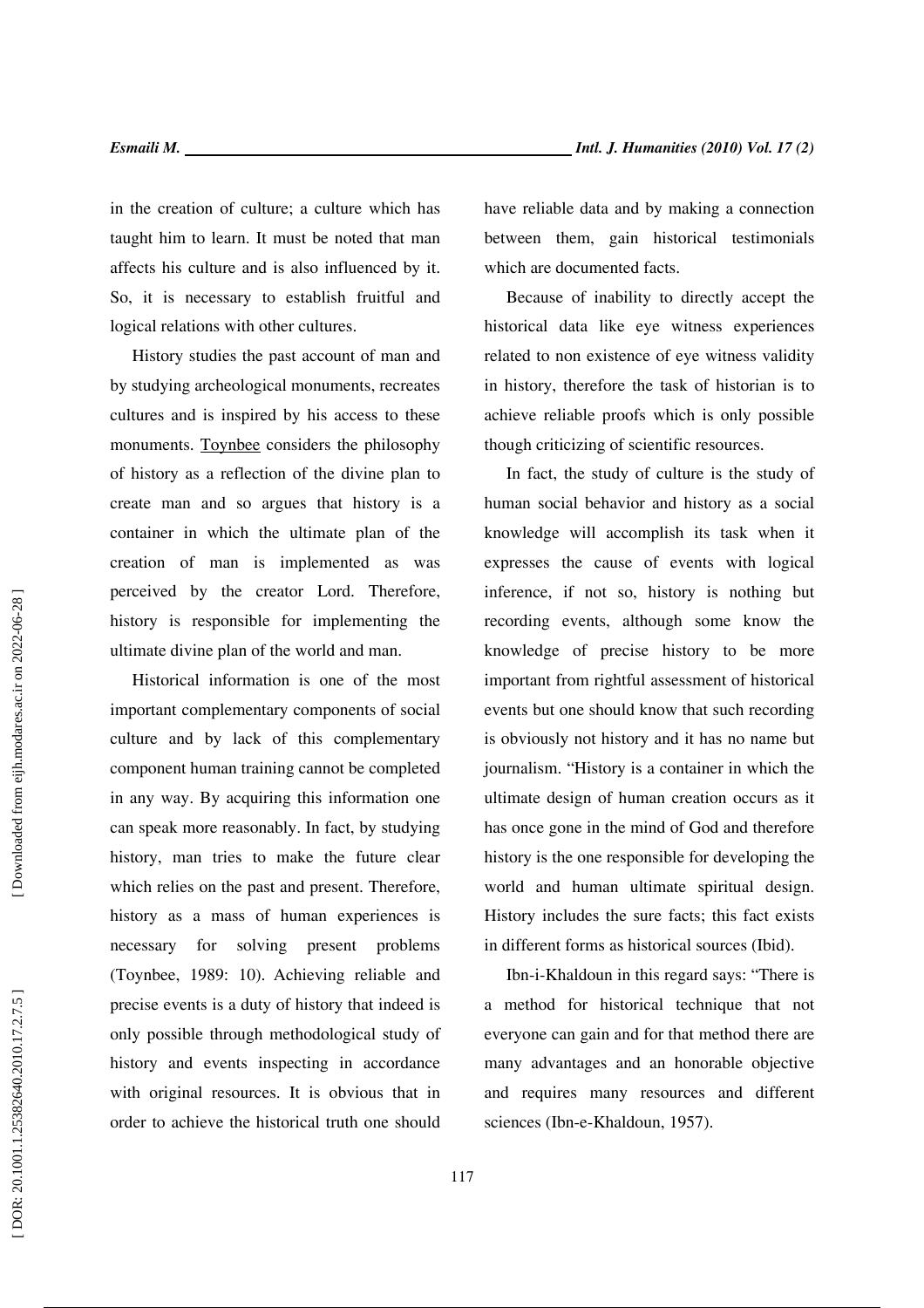in the creation of culture; a culture which has taught him to learn. It must be noted that man affects his culture and is also influenced by it. So, it is necessary to establish fruitful and logical relations with other cultures.

History studies the past account of man and by studying archeological monuments, recreates cultures and is inspired by his access to these monuments. Toynbee considers the philosophy of history as a reflection of the divine plan to create man and so argues that history is a container in which the ultimate plan of the creation of man is implemented as was perceived by the creator Lord. Therefore, history is responsible for implementing the ultimate divine plan of the world and man.

Historical information is one of the most important complementary components of social culture and by lack of this complementary component human training cannot be completed in any way. By acquiring this information one can speak more reasonably. In fact, by studying history, man tries to make the future clear which relies on the past and present. Therefore, history as a mass of human experiences is necessary for solving present problems (Toynbee, 1989: 10). Achieving reliable and precise events is a duty of history that indeed is only possible through methodological study of history and events inspecting in accordance with original resources. It is obvious that in order to achieve the historical truth one should have reliable data and by making a connection between them, gain historical testimonials which are documented facts.

Because of inability to directly accept the historical data like eye witness experiences related to non existence of eye witness validity in history, therefore the task of historian is to achieve reliable proofs which is only possible though criticizing of scientific resources.

In fact, the study of culture is the study of human social behavior and history as a social knowledge will accomplish its task when it expresses the cause of events with logical inference, if not so, history is nothing but recording events, although some know the knowledge of precise history to be more important from rightful assessment of historical events but one should know that such recording is obviously not history and it has no name but journalism. "History is a container in which the ultimate design of human creation occurs as it has once gone in the mind of God and therefore history is the one responsible for developing the world and human ultimate spiritual design. History includes the sure facts; this fact exists in different forms as historical sources (Ibid).

Ibn-i-Khaldoun in this regard says: "There is a method for historical technique that not everyone can gain and for that method there are many advantages and an honorable objective and requires many resources and different sciences (Ibn-e-Khaldoun, 1957).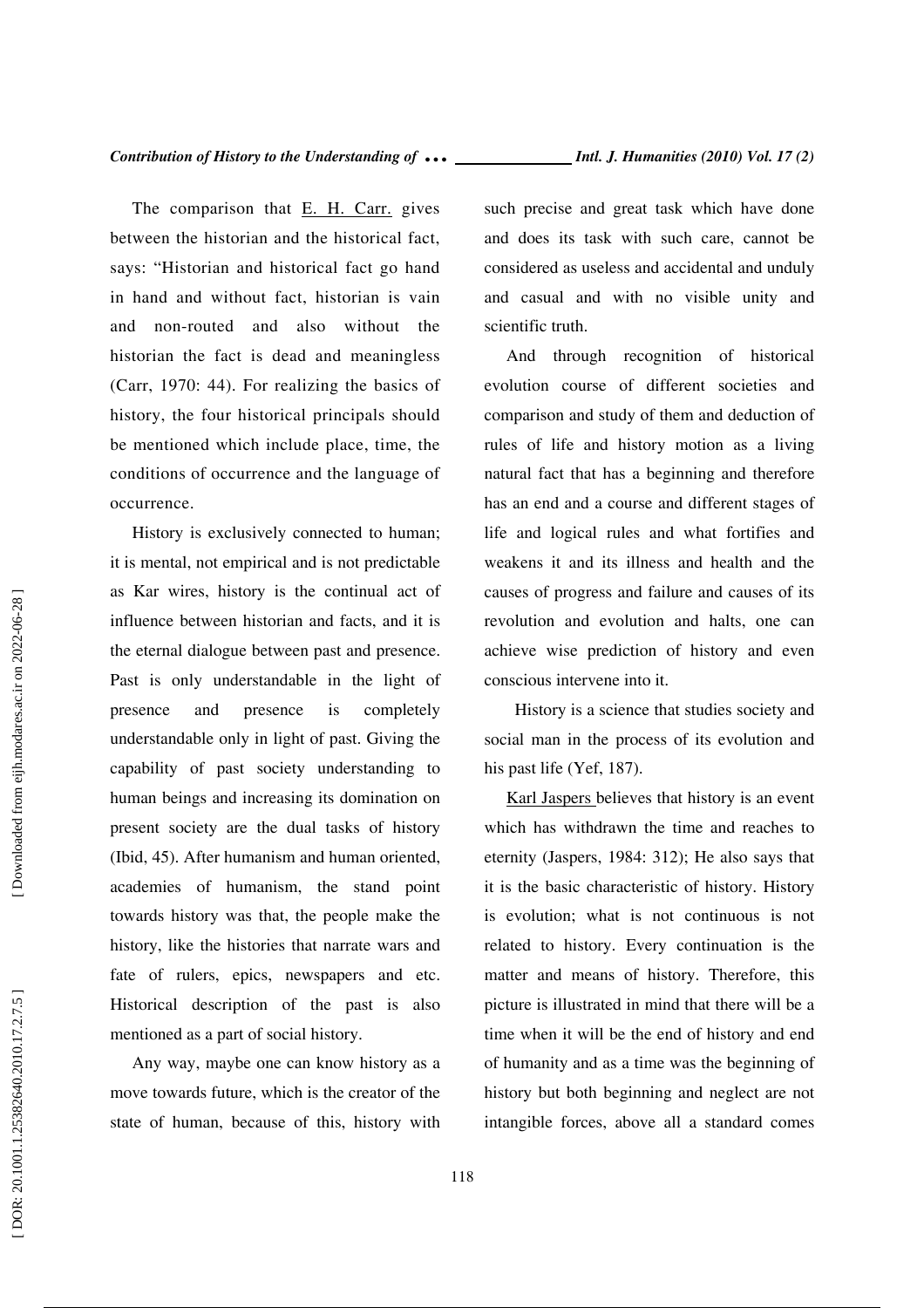The comparison that E. H. Carr. gives between the historian and the historical fact, says: "Historian and historical fact go hand in hand and without fact, historian is vain and non-routed and also without the historian the fact is dead and meaningless (Carr, 1970: 44). For realizing the basics of history, the four historical principals should be mentioned which include place, time, the conditions of occurrence and the language of occurrence.

History is exclusively connected to human; it is mental, not empirical and is not predictable as Kar wires, history is the continual act of influence between historian and facts, and it is the eternal dialogue between past and presence. Past is only understandable in the light of presence and presence is completely understandable only in light of past. Giving the capability of past society understanding to human beings and increasing its domination on present society are the dual tasks of history (Ibid, 45). After humanism and human oriented, academies of humanism, the stand point towards history was that, the people make the history, like the histories that narrate wars and fate of rulers, epics, newspapers and etc. Historical description of the past is also mentioned as a part of social history.

Any way, maybe one can know history as a move towards future, which is the creator of the state of human, because of this, history with such precise and great task which have done and does its task with such care, cannot be considered as useless and accidental and unduly and casual and with no visible unity and scientific truth.

And through recognition of historical evolution course of different societies and comparison and study of them and deduction of rules of life and history motion as a living natural fact that has a beginning and therefore has an end and a course and different stages of life and logical rules and what fortifies and weakens it and its illness and health and the causes of progress and failure and causes of its revolution and evolution and halts, one can achieve wise prediction of history and even conscious intervene into it.

 History is a science that studies society and social man in the process of its evolution and his past life (Yef, 187).

Karl Jaspers believes that history is an event which has withdrawn the time and reaches to eternity (Jaspers, 1984: 312); He also says that it is the basic characteristic of history. History is evolution; what is not continuous is not related to history. Every continuation is the matter and means of history. Therefore, this picture is illustrated in mind that there will be a time when it will be the end of history and end of humanity and as a time was the beginning of history but both beginning and neglect are not intangible forces, above all a standard comes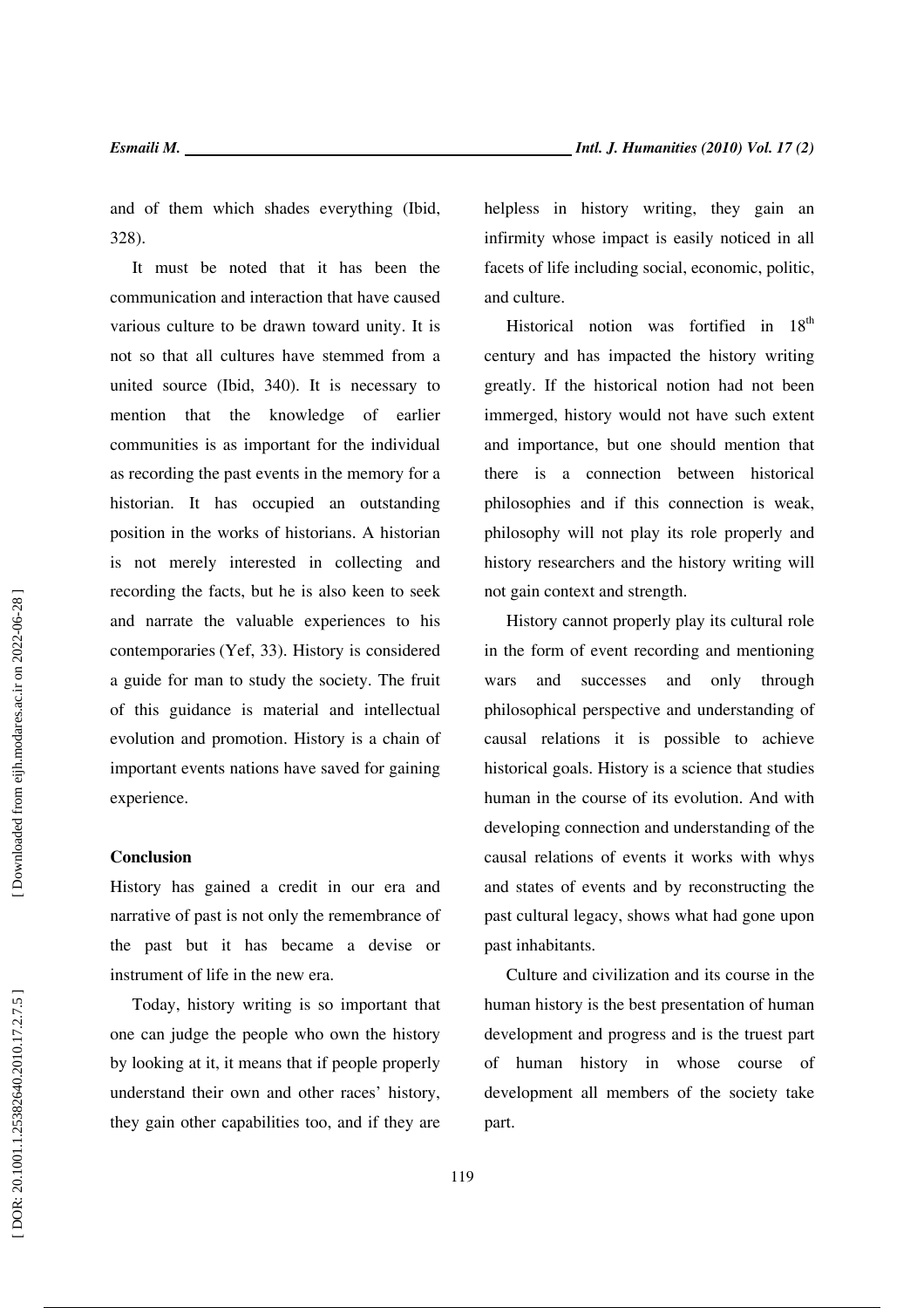and of them which shades everything (Ibid, 328).

It must be noted that it has been the communication and interaction that have caused various culture to be drawn toward unity. It is not so that all cultures have stemmed from a united source (Ibid, 340). It is necessary to mention that the knowledge of earlier communities is as important for the individual as recording the past events in the memory for a historian. It has occupied an outstanding position in the works of historians. A historian is not merely interested in collecting and recording the facts, but he is also keen to seek and narrate the valuable experiences to his contemporaries (Yef, 33). History is considered a guide for man to study the society. The fruit of this guidance is material and intellectual evolution and promotion. History is a chain of important events nations have saved for gaining experience.

## **Conclusion**

History has gained a credit in our era and narrative of past is not only the remembrance of the past but it has became a devise or instrument of life in the new era.

Today, history writing is so important that one can judge the people who own the history by looking at it, it means that if people properly understand their own and other races' history, they gain other capabilities too, and if they are helpless in history writing, they gain an infirmity whose impact is easily noticed in all facets of life including social, economic, politic, and culture.

Historical notion was fortified in  $18<sup>th</sup>$ century and has impacted the history writing greatly. If the historical notion had not been immerged, history would not have such extent and importance, but one should mention that there is a connection between historical philosophies and if this connection is weak, philosophy will not play its role properly and history researchers and the history writing will not gain context and strength.

History cannot properly play its cultural role in the form of event recording and mentioning wars and successes and only through philosophical perspective and understanding of causal relations it is possible to achieve historical goals. History is a science that studies human in the course of its evolution. And with developing connection and understanding of the causal relations of events it works with whys and states of events and by reconstructing the past cultural legacy, shows what had gone upon past inhabitants.

Culture and civilization and its course in the human history is the best presentation of human development and progress and is the truest part of human history in whose course of development all members of the society take part.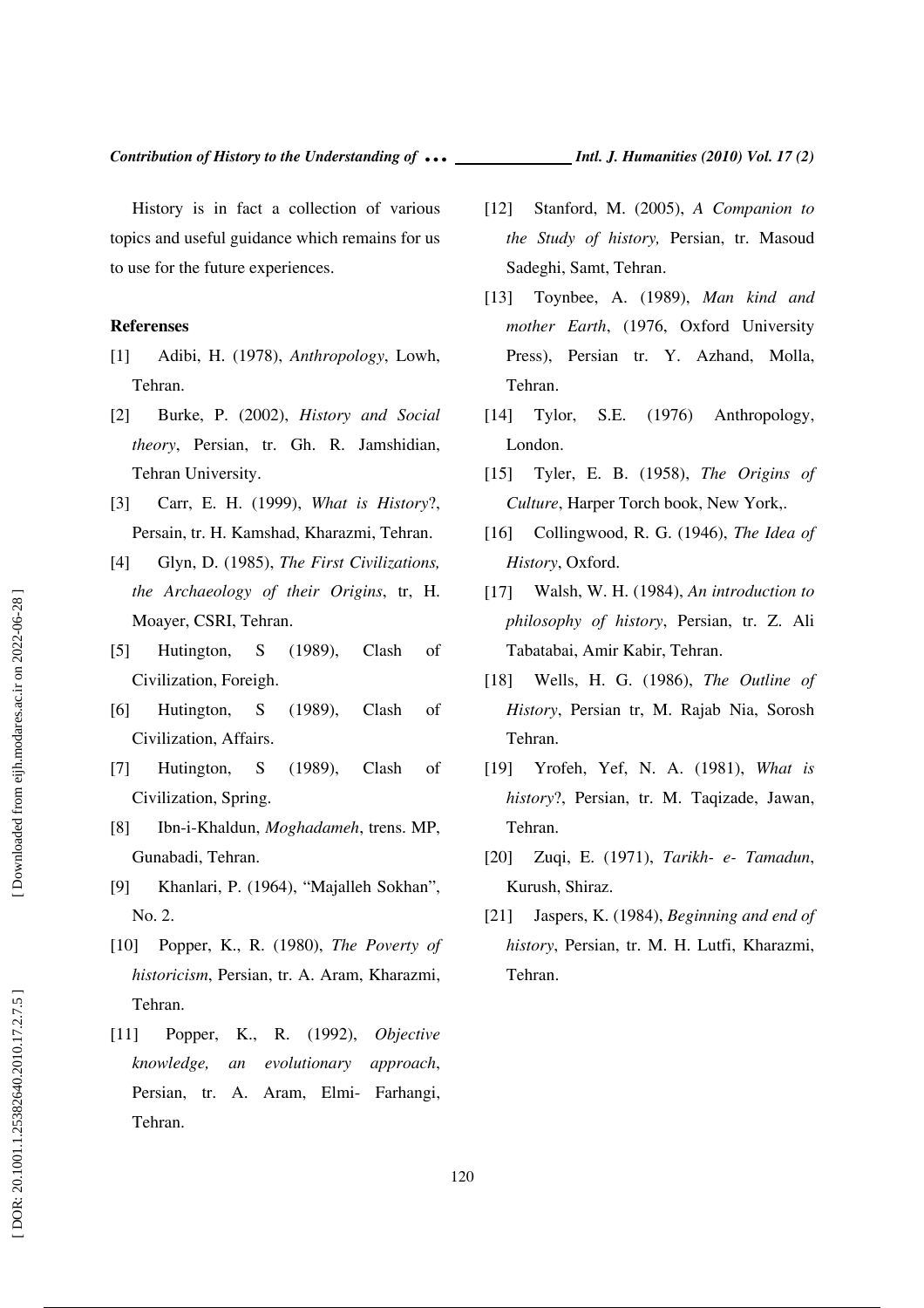History is in fact a collection of various topics and useful guidance which remains for us to use for the future experiences.

#### **Referenses**

- [1] Adibi, H. (1978), *Anthropology*, Lowh, Tehran.
- [2] Burke, P. (2002), *History and Social theory*, Persian, tr. Gh. R. Jamshidian, Tehran University.
- [3] Carr, E. H. (1999), *What is History*?, Persain, tr. H. Kamshad, Kharazmi, Tehran.
- [4] Glyn, D. (1985), *The First Civilizations, the Archaeology of their Origins*, tr, H. Moayer, CSRI, Tehran.
- [5] Hutington, S (1989), Clash of Civilization, Foreigh.
- [6] Hutington, S (1989), Clash of Civilization, Affairs.
- [7] Hutington, S (1989), Clash of Civilization, Spring.
- [8] Ibn-i-Khaldun, *Moghadameh*, trens. MP, Gunabadi, Tehran.
- [9] Khanlari, P. (1964), "Majalleh Sokhan", No. 2.
- [10] Popper, K., R. (1980), *The Poverty of historicism*, Persian, tr. A. Aram, Kharazmi, Tehran.
- [11] Popper, K., R. (1992), *Objective knowledge, an evolutionary approach*, Persian, tr. A. Aram, Elmi- Farhangi, Tehran.
- [12] Stanford, M. (2005), *A Companion to the Study of history,* Persian, tr. Masoud
- [13] Toynbee, A. (1989), *Man kind and mother Earth*, (1976, Oxford University Press), Persian tr. Y. Azhand, Molla, Tehran.

Sadeghi, Samt, Tehran.

- [14] Tylor, S.E. (1976) Anthropology, London.
- [15] Tyler, E. B. (1958), *The Origins of Culture*, Harper Torch book, New York,.
- [16] Collingwood, R. G. (1946), *The Idea of History*, Oxford.
- [17] Walsh, W. H. (1984), *An introduction to philosophy of history*, Persian, tr. Z. Ali Tabatabai, Amir Kabir, Tehran.
- [18] Wells, H. G. (1986), *The Outline of History*, Persian tr, M. Rajab Nia, Sorosh Tehran.
- [19] Yrofeh, Yef, N. A. (1981), *What is history*?, Persian, tr. M. Taqizade, Jawan, Tehran.
- [20] Zuqi, E. (1971), *Tarikh- e- Tamadun*, Kurush, Shiraz.
- [21] Jaspers, K. (1984), *Beginning and end of history*, Persian, tr. M. H. Lutfi, Kharazmi, Tehran.